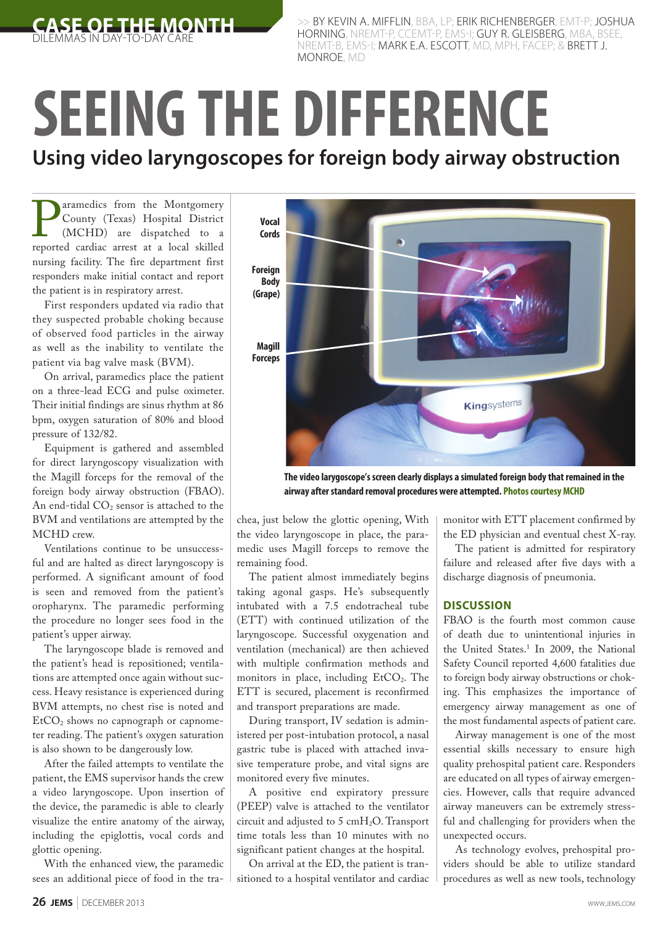

BY KEVIN A. MIFFLIN, BBA, LP; ERIK RICHENBERGER, EMT-P; JOSHUA HORNING, NREMT-P, CCEMT-P, EMS-I; GUY R. GLEISBERG, MBA, BSEE, NREMT-B, EMS-I; MARK E.A. ESCOTT, MD, MPH, FACEP; & BRETT J. MONROE, MD

## **SEEING THE DIFFERENCE Using video laryngoscopes for foreign body airway obstruction**

**P** aramedics from the Montgomery<br>
County (Texas) Hospital District<br>
(MCHD) are dispatched to a<br>
reported cardiac arrest at a local skilled County (Texas) Hospital District (MCHD) are dispatched to a nursing facility. The fire department first responders make initial contact and report the patient is in respiratory arrest.

First responders updated via radio that they suspected probable choking because of observed food particles in the airway as well as the inability to ventilate the patient via bag valve mask (BVM).

On arrival, paramedics place the patient on a three-lead ECG and pulse oximeter. Their initial findings are sinus rhythm at 86 bpm, oxygen saturation of 80% and blood pressure of 132/82.

Equipment is gathered and assembled for direct laryngoscopy visualization with the Magill forceps for the removal of the foreign body airway obstruction (FBAO). An end-tidal CO<sub>2</sub> sensor is attached to the BVM and ventilations are attempted by the MCHD crew.

Ventilations continue to be unsuccessful and are halted as direct laryngoscopy is performed. A significant amount of food is seen and removed from the patient's oropharynx. The paramedic performing the procedure no longer sees food in the patient's upper airway.

The laryngoscope blade is removed and the patient's head is repositioned; ventilations are attempted once again without success. Heavy resistance is experienced during BVM attempts, no chest rise is noted and  $EtCO<sub>2</sub>$  shows no capnograph or capnometer reading. The patient's oxygen saturation is also shown to be dangerously low.

After the failed attempts to ventilate the patient, the EMS supervisor hands the crew a video laryngoscope. Upon insertion of the device, the paramedic is able to clearly visualize the entire anatomy of the airway, including the epiglottis, vocal cords and glottic opening.

With the enhanced view, the paramedic sees an additional piece of food in the tra-



**The video larygoscope's screen clearly displays a simulated foreign body that remained in the airway after standard removal procedures were attempted. Photos courtesy MCHD**

chea, just below the glottic opening, With the video laryngoscope in place, the paramedic uses Magill forceps to remove the remaining food.

The patient almost immediately begins taking agonal gasps. He's subsequently intubated with a 7.5 endotracheal tube (ETT) with continued utilization of the laryngoscope. Successful oxygenation and ventilation (mechanical) are then achieved with multiple confirmation methods and monitors in place, including  $EtCO<sub>2</sub>$ . The ETT is secured, placement is reconfirmed and transport preparations are made.

During transport, IV sedation is administered per post-intubation protocol, a nasal gastric tube is placed with attached invasive temperature probe, and vital signs are monitored every five minutes.

A positive end expiratory pressure (PEEP) valve is attached to the ventilator circuit and adjusted to 5 cmH2O. Transport time totals less than 10 minutes with no significant patient changes at the hospital.

On arrival at the ED, the patient is transitioned to a hospital ventilator and cardiac monitor with ETT placement confirmed by the ED physician and eventual chest X-ray.

The patient is admitted for respiratory failure and released after five days with a discharge diagnosis of pneumonia.

## **DISCUSSION**

FBAO is the fourth most common cause of death due to unintentional injuries in the United States.1 In 2009, the National Safety Council reported 4,600 fatalities due to foreign body airway obstructions or choking. This emphasizes the importance of emergency airway management as one of the most fundamental aspects of patient care.

Airway management is one of the most essential skills necessary to ensure high quality prehospital patient care. Responders are educated on all types of airway emergencies. However, calls that require advanced airway maneuvers can be extremely stressful and challenging for providers when the unexpected occurs.

As technology evolves, prehospital providers should be able to utilize standard procedures as well as new tools, technology